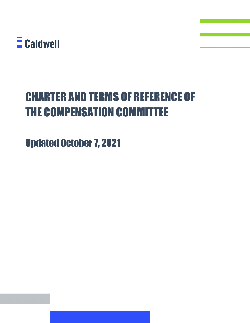

# CHARTER AND TERMS OF REFERENCE OF THE COMPENSATION COMMITTEE

Updated October 7, 2021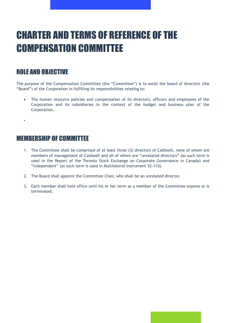# CHARTER AND TERMS OF REFERENCE OF THE COMPENSATION COMMITTEE

### ROLE AND OBJECTIVE

The purpose of the Compensation Committee (the "Committee") is to assist the board of directors (the "Board") of the Corporation in fulfilling its responsibilities relating to:

- The human resource policies and compensation of its directors, officers and employees of the Corporation and its subsidiaries in the context of the budget and business plan of the Corporation.
- •

#### MEMBERSHIP OF COMMITTEE

- 1. The Committee shall be comprised of at least three (3) directors of Caldwell, none of whom are members of management of Caldwell and all of whom are "unrelated directors" (as such term is used in the Report of the Toronto Stock Exchange on Corporate Governance in Canada) and "independent" (as such term is used in Multilateral Instrument 52-110).
- 2. The Board shall appoint the Committee Chair, who shall be an unrelated director.
- 3. Each member shall hold office until his or her term as a member of the Committee expires or is terminated.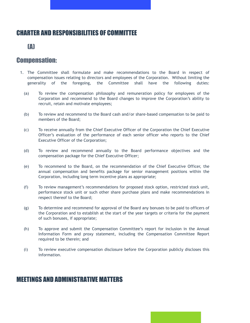## CHARTER AND RESPONSIBILITIES OF COMMITTEE

#### (A)

#### Compensation:

- 1. The Committee shall formulate and make recommendations to the Board in respect of compensation issues relating to directors and employees of the Corporation. Without limiting the generality of the foregoing, the Committee shall have the following duties:
	- (a) To review the compensation philosophy and remuneration policy for employees of the Corporation and recommend to the Board changes to improve the Corporation's ability to recruit, retain and motivate employees;
	- (b) To review and recommend to the Board cash and/or share-based compensation to be paid to members of the Board;
	- (c) To receive annually from the Chief Executive Officer of the Corporation the Chief Executive Officer's evaluation of the performance of each senior officer who reports to the Chief Executive Officer of the Corporation;
	- (d) To review and recommend annually to the Board performance objectives and the compensation package for the Chief Executive Officer;
	- (e) To recommend to the Board, on the recommendation of the Chief Executive Officer, the annual compensation and benefits package for senior management positions within the Corporation, including long term incentive plans as appropriate;
	- (f) To review management's recommendations for proposed stock option, restricted stock unit, performance stock unit or such other share purchase plans and make recommendations in respect thereof to the Board;
	- (g) To determine and recommend for approval of the Board any bonuses to be paid to officers of the Corporation and to establish at the start of the year targets or criteria for the payment of such bonuses, if appropriate;
	- (h) To approve and submit the Compensation Committee's report for inclusion in the Annual Information Form and proxy statement, including the Compensation Committee Report required to be therein; and
	- (i) To review executive compensation disclosure before the Corporation publicly discloses this information.

#### MEETINGS AND ADMINISTRATIVE MATTERS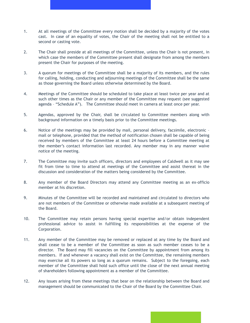- 1. At all meetings of the Committee every motion shall be decided by a majority of the votes cast. In case of an equality of votes, the Chair of the meeting shall not be entitled to a second or casting vote.
- 2. The Chair shall preside at all meetings of the Committee, unless the Chair is not present, in which case the members of the Committee present shall designate from among the members present the Chair for purposes of the meeting.
- 3. A quorum for meetings of the Committee shall be a majority of its members, and the rules for calling, holding, conducting and adjourning meetings of the Committee shall be the same as those governing the Board unless otherwise determined by the Board.
- 4. Meetings of the Committee should be scheduled to take place at least twice per year and at such other times as the Chair or any member of the Committee may request (see suggested agenda – "Schedule A"). The Committee should meet in camera at least once per year.
- 5. Agendas, approved by the Chair, shall be circulated to Committee members along with background information on a timely basis prior to the Committee meetings.
- 6. Notice of the meetings may be provided by mail, personal delivery, facsimile, electronic mail or telephone, provided that the method of notification chosen shall be capable of being received by members of the Committee at least 24 hours before a Committee meeting at the member's contact information last recorded. Any member may in any manner waive notice of the meeting.
- 7. The Committee may invite such officers, directors and employees of Caldwell as it may see fit from time to time to attend at meetings of the Committee and assist thereat in the discussion and consideration of the matters being considered by the Committee.
- 8. Any member of the Board Directors may attend any Committee meeting as an ex-officio member at his discretion.
- 9. Minutes of the Committee will be recorded and maintained and circulated to directors who are not members of the Committee or otherwise made available at a subsequent meeting of the Board.
- 10. The Committee may retain persons having special expertise and/or obtain independent professional advice to assist in fulfilling its responsibilities at the expense of the Corporation.
- 11. Any member of the Committee may be removed or replaced at any time by the Board and shall cease to be a member of the Committee as soon as such member ceases to be a director. The Board may fill vacancies on the Committee by appointment from among its members. If and whenever a vacancy shall exist on the Committee, the remaining members may exercise all its powers so long as a quorum remains. Subject to the foregoing, each member of the Committee shall hold such office until the close of the next annual meeting of shareholders following appointment as a member of the Committee.
- 12. Any issues arising from these meetings that bear on the relationship between the Board and management should be communicated to the Chair of the Board by the Committee Chair.